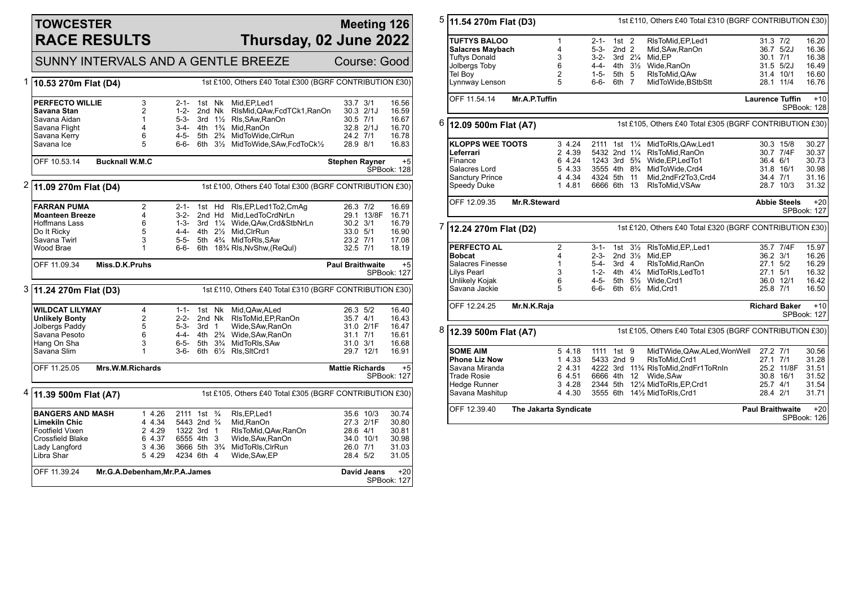### **TOWCESTER RACE RESULTS**

#### **Meeting 126 Thursday, 02 June 2022**

SUNNY INTERVALS AND A GENTLE BREEZE Course: Good

|                                                            | OUNN LINTERVALO AND A GLIVILL DILLEZE<br>UUUIST. UUUU                                         |                               |                                        |                  |                                                         |                                                             |                         |             |                            |  |
|------------------------------------------------------------|-----------------------------------------------------------------------------------------------|-------------------------------|----------------------------------------|------------------|---------------------------------------------------------|-------------------------------------------------------------|-------------------------|-------------|----------------------------|--|
|                                                            | 1 10.53 270m Flat (D4)                                                                        |                               |                                        |                  | 1st £100, Others £40 Total £300 (BGRF CONTRIBUTION £30) |                                                             |                         |             |                            |  |
|                                                            | <b>PERFECTO WILLIE</b>                                                                        | 3                             | 2-1-                                   |                  | 1st Nk                                                  | Mid.EP.Led1                                                 | 33.7 3/1                |             | 16.56                      |  |
|                                                            | Savana Stan                                                                                   | $\overline{2}$                | $1 - 2 -$                              |                  | 2nd Nk                                                  | RIsMid, QAw, FcdTCk1, RanOn                                 | 30.3 2/1J               |             | 16.59                      |  |
|                                                            | Savana Aidan                                                                                  | $\mathbf{1}$                  | $5 - 3 -$                              | 3rd              | $1\frac{1}{2}$                                          | Rls, SAw, RanOn                                             | 30.5 7/1                |             | 16.67                      |  |
|                                                            | Savana Flight                                                                                 | 4                             |                                        |                  |                                                         | 3-4- 4th 1 <sup>3</sup> / <sub>4</sub> Mid, RanOn           | 32.8 2/1J               |             | 16.70                      |  |
|                                                            | Savana Kerry                                                                                  | 6                             | $4 - 5 -$                              |                  |                                                         | 5th 2% MidToWide, ClrRun                                    | 24.2 7/1                |             | 16.78                      |  |
|                                                            | Savana Ice                                                                                    | 5                             | 6-6-                                   |                  |                                                         | 6th 31/2 MidToWide, SAw, FcdToCk1/2                         | 28.9 8/1                |             | 16.83                      |  |
|                                                            | OFF 10.53.14                                                                                  | <b>Bucknall W.M.C</b>         |                                        |                  |                                                         |                                                             | <b>Stephen Rayner</b>   |             | $+5$<br>SPBook: 128        |  |
|                                                            |                                                                                               |                               |                                        |                  |                                                         |                                                             |                         |             |                            |  |
| 2                                                          | 1st £100, Others £40 Total £300 (BGRF CONTRIBUTION £30)<br>11.09 270m Flat (D4)               |                               |                                        |                  |                                                         |                                                             |                         |             |                            |  |
|                                                            | <b>FARRAN PUMA</b>                                                                            | 2                             | $2 - 1 -$                              |                  | 1st Hd                                                  | RIs, EP, Led 1 To 2, Cm Ag                                  | 26.3 7/2                |             | 16.69                      |  |
|                                                            | <b>Moanteen Breeze</b>                                                                        | 4                             | $3-2-$                                 | 2nd Hd           |                                                         | Mid,LedToCrdNrLn                                            |                         | 29.1 13/8F  | 16.71                      |  |
|                                                            | <b>Hoffmans Lass</b>                                                                          | 6                             |                                        |                  |                                                         | 1-3- 3rd 11/4 Wide, QAw, Crd&StbNrLn                        | $30.2$ $3/1$            |             | 16.79                      |  |
|                                                            | Do It Ricky                                                                                   | 5                             |                                        |                  |                                                         | 4-4- 4th 21/2 Mid, ClrRun                                   | 33.0 5/1                |             | 16.90                      |  |
|                                                            | Savana Twirl                                                                                  | 3                             | $5-5-$                                 |                  |                                                         | 5th 4% MidToRIs, SAw                                        | 23.2 7/1                |             | 17.08                      |  |
|                                                            | Wood Brae                                                                                     | $\mathbf{1}$                  |                                        |                  |                                                         | 6-6- 6th 18 <sup>3</sup> / <sub>4</sub> Rls, NvShw, (ReQul) | 32.5 7/1                |             | 18.19                      |  |
|                                                            | OFF 11.09.34                                                                                  | Miss.D.K.Pruhs                |                                        |                  |                                                         |                                                             | <b>Paul Braithwaite</b> |             | $+5$<br><b>SPBook: 127</b> |  |
|                                                            | 3 11.24 270m Flat (D3)<br>1st £110, Others £40 Total £310 (BGRF CONTRIBUTION £30)             |                               |                                        |                  |                                                         |                                                             |                         |             |                            |  |
|                                                            | <b>WILDCAT LILYMAY</b>                                                                        | 4                             | $1 - 1 -$                              |                  | 1st Nk                                                  | Mid, QAw, ALed                                              | 26.3 5/2                |             | 16.40                      |  |
|                                                            | <b>Unlikely Bonty</b>                                                                         | $\overline{2}$                | $2 - 2 -$                              |                  | 2nd Nk                                                  | RIsToMid.EP.RanOn                                           | 35.7 4/1                |             | 16.43                      |  |
|                                                            | Jolbergs Paddy                                                                                | 5                             | 5-3-                                   | 3rd <sub>1</sub> |                                                         | Wide, SAw, RanOn                                            | 31.0 2/1F               |             | 16.47                      |  |
|                                                            | Savana Pesoto                                                                                 | 6                             |                                        |                  |                                                         | 4-4- 4th 2 <sup>3</sup> / <sub>4</sub> Wide, SAw, RanOn     | $31.1$ $7/1$            |             | 16.61                      |  |
|                                                            | Hang On Sha                                                                                   | 3                             | 6-5-                                   |                  |                                                         | 5th 3 <sup>3</sup> / <sub>4</sub> MidToRIs, SAw             | 31.0 3/1                |             | 16.68                      |  |
|                                                            | Savana Slim                                                                                   | $\mathbf{1}$                  | $3 - 6 -$                              |                  |                                                         | 6th 61/2 RIs, SItCrd1                                       | 29.7 12/1               |             | 16.91                      |  |
| OFF 11.25.05<br>Mrs.W.M.Richards<br><b>Mattie Richards</b> |                                                                                               |                               |                                        |                  |                                                         |                                                             | $+5$                    |             |                            |  |
|                                                            | <b>SPBook: 127</b>                                                                            |                               |                                        |                  |                                                         |                                                             |                         |             |                            |  |
|                                                            | <sup>4</sup>  11.39 500m Flat (A7)<br>1st £105, Others £40 Total £305 (BGRF CONTRIBUTION £30) |                               |                                        |                  |                                                         |                                                             |                         |             |                            |  |
|                                                            | <b>BANGERS AND MASH</b>                                                                       | 1 4.26                        | 2111 1st <sup>3</sup> / <sub>4</sub>   |                  |                                                         | RIs, EP, Led1                                               |                         | 35.6 10/3   | 30.74                      |  |
|                                                            | <b>Limekiln Chic</b>                                                                          | 4 4.34                        | 5443 2nd <sup>3</sup> / <sub>4</sub>   |                  |                                                         | Mid.RanOn                                                   | 27.3 2/1F               |             | 30.80                      |  |
|                                                            | Footfield Vixen                                                                               | 2 4.29                        | 1322 3rd 1                             |                  |                                                         | RIsToMid, QAw, RanOn                                        | 28.6 4/1                |             | 30.81                      |  |
|                                                            | Crossfield Blake                                                                              | 6 4.37                        | 6555 4th 3                             |                  |                                                         | Wide, SAw, RanOn                                            | 34.0 10/1               |             | 30.98                      |  |
|                                                            | Lady Langford                                                                                 | 3 4.36                        | 3666 5th 3 <sup>3</sup> / <sub>4</sub> |                  |                                                         | MidToRIs, CIrRun                                            | 26.0 7/1                |             | 31.03                      |  |
|                                                            | Libra Shar                                                                                    | 5 4.29                        | 4234 6th 4                             |                  |                                                         | Wide, SAw, EP                                               | 28.4 5/2                |             | 31.05                      |  |
|                                                            | OFF 11.39.24                                                                                  | Mr.G.A.Debenham, Mr.P.A.James |                                        |                  |                                                         |                                                             |                         | David Jeans | $+20$<br>SPBook: 127       |  |
|                                                            |                                                                                               |                               |                                        |                  |                                                         |                                                             |                         |             |                            |  |

| 5<br>1st £110, Others £40 Total £310 (BGRF CONTRIBUTION £30)<br>11.54 270m Flat (D3) |                                          |                |                  |                                        |                      |                                                         |                                                                    |                        |                     |                      |
|--------------------------------------------------------------------------------------|------------------------------------------|----------------|------------------|----------------------------------------|----------------------|---------------------------------------------------------|--------------------------------------------------------------------|------------------------|---------------------|----------------------|
|                                                                                      | <b>TUFTYS BALOO</b>                      | 1              |                  | $2 - 1 -$                              | $1st$ 2              |                                                         | RIsToMid, EP, Led1                                                 | 31.3 7/2               |                     | 16.20                |
|                                                                                      | <b>Salacres Maybach</b>                  | 4              |                  | $5 - 3 -$                              | 2nd <sub>2</sub>     |                                                         | Mid, SAw, RanOn                                                    |                        | 36.7 5/2J           | 16.36                |
|                                                                                      | <b>Tuftys Donald</b>                     | 3              |                  | $3 - 2 -$                              | 3rd $2\frac{1}{4}$   |                                                         | Mid.EP                                                             | 30.1 7/1               |                     | 16.38                |
|                                                                                      | Jolbergs Toby                            | 6              |                  | 4-4-                                   | 4th 31/ <sub>2</sub> |                                                         | Wide, RanOn                                                        |                        | 31.5 5/2J           | 16.49                |
|                                                                                      | Tel Boy                                  | $\overline{2}$ |                  | 1-5-                                   | 5th 5                |                                                         | RIsToMid.QAw                                                       |                        | 31.4 10/1           | 16.60                |
|                                                                                      | Lynnway Lenson                           | 5              |                  | 6-6-                                   | 6th 7                |                                                         | MidToWide,BStbStt                                                  |                        | 28.1 11/4           | 16.76                |
|                                                                                      |                                          |                |                  |                                        |                      |                                                         |                                                                    |                        |                     |                      |
|                                                                                      | OFF 11.54.14                             | Mr.A.P.Tuffin  |                  |                                        |                      |                                                         |                                                                    | <b>Laurence Tuffin</b> |                     | $+10$<br>SPBook: 128 |
| 6<br>1st £105, Others £40 Total £305 (BGRF CONTRIBUTION £30)<br>12.09 500m Flat (A7) |                                          |                |                  |                                        |                      |                                                         |                                                                    |                        |                     |                      |
|                                                                                      | <b>KLOPPS WEE TOOTS</b>                  |                | 3 4.24           | 2111 1st                               |                      | $1\frac{1}{4}$                                          | MidToRIs, QAw, Led1                                                |                        | 30.3 15/8           | 30.27                |
|                                                                                      | Leferrari                                |                | 2 4.39           | 5432 2nd 11/4                          |                      |                                                         | RIsToMid, RanOn                                                    |                        | 30.7 7/4F           | 30.37                |
|                                                                                      | Finance                                  |                | 6 4.24           | 1243 3rd 5 <sup>3</sup> / <sub>4</sub> |                      |                                                         | Wide, EP, Led To 1                                                 | 36.4 6/1               |                     | 30.73                |
|                                                                                      | Salacres Lord                            |                | 5 4.33           | 3555 4th 8 <sup>3</sup> / <sub>4</sub> |                      |                                                         | MidToWide, Crd4                                                    |                        | 31.8 16/1           | 30.98                |
|                                                                                      | <b>Sanctury Prince</b>                   |                | 4 4.34           | 4324 5th 11                            |                      |                                                         | Mid,2ndFr2To3,Crd4                                                 | 34.4 7/1               |                     | 31.16                |
|                                                                                      | Speedy Duke                              |                | 1 4.81           | 6666 6th                               |                      | 13                                                      | RIsToMid, VSAw                                                     |                        | 28.7 10/3           | 31.32                |
|                                                                                      | OFF 12.09.35                             | Mr.R.Steward   |                  |                                        |                      |                                                         |                                                                    |                        | <b>Abbie Steels</b> | $+20$<br>SPBook: 127 |
| 7<br>12.24 270m Flat (D2)                                                            |                                          |                |                  |                                        |                      | 1st £120, Others £40 Total £320 (BGRF CONTRIBUTION £30) |                                                                    |                        |                     |                      |
|                                                                                      | PERFECTO AL                              | $\overline{2}$ |                  | 3-1-                                   |                      | 1st $3\frac{1}{2}$                                      | RIsToMid, EP., Led1                                                |                        | 35.7 7/4F           |                      |
|                                                                                      |                                          |                |                  |                                        |                      |                                                         |                                                                    |                        |                     | 15.97                |
|                                                                                      |                                          | 4              |                  | $2 - 3 -$                              |                      |                                                         |                                                                    |                        |                     |                      |
|                                                                                      | <b>Bobcat</b><br><b>Salacres Finesse</b> | 1              |                  | 5-4-                                   | 3rd <sub>4</sub>     | 2nd $3\frac{1}{2}$                                      | Mid,EP                                                             | 36.2 3/1<br>27.1 5/2   |                     | 16.26<br>16.29       |
|                                                                                      |                                          | 3              |                  | $1 - 2 -$                              | 4th $4\frac{1}{4}$   |                                                         | RIsToMid, RanOn                                                    | 27.1 5/1               |                     |                      |
|                                                                                      | Lilys Pearl                              |                |                  |                                        |                      |                                                         | MidToRIs, LedTo1                                                   |                        |                     | 16.32                |
|                                                                                      | Unlikely Kojak<br>Savana Jackie          | 6<br>5         |                  | 4-5-<br>6-6-                           |                      | 6th $6\frac{1}{2}$                                      | 5th 51/ <sub>2</sub> Wide, Crd1<br>Mid, Crd1                       | 25.8 7/1               | 36.0 12/1           | 16.42<br>16.50       |
|                                                                                      | OFF 12.24.25                             | Mr.N.K.Raja    |                  |                                        |                      |                                                         |                                                                    | <b>Richard Baker</b>   |                     | $+10$<br>SPBook: 127 |
| 8                                                                                    | 12.39 500m Flat (A7)                     |                |                  |                                        |                      |                                                         | 1st £105, Others £40 Total £305 (BGRF CONTRIBUTION £30)            |                        |                     |                      |
|                                                                                      | <b>SOME AIM</b>                          |                | 5 4.18           | 1111 1st 9                             |                      |                                                         | MidTWide, QAw, ALed, Won Well                                      | 27.2 7/1               |                     | 30.56                |
|                                                                                      | <b>Phone Liz Now</b>                     |                | 1 4.33           | 5433 2nd 9                             |                      |                                                         | RIsToMid, Crd1                                                     | 27.1 7/1               |                     | 31.28                |
|                                                                                      | Savana Miranda                           |                | 2 4.31           |                                        |                      |                                                         |                                                                    |                        | 25.2 11/8F          | 31.51                |
|                                                                                      | Trade Rosie                              |                | 6 4.51           | 6666 4th 12                            |                      |                                                         | 4222 3rd 11% RIsToMid, 2nd Fr1To RnIn                              |                        | 30.8 16/1           |                      |
|                                                                                      |                                          |                |                  |                                        |                      |                                                         | Wide, SAw                                                          |                        |                     | 31.52                |
|                                                                                      | Hedge Runner<br>Savana Mashitup          |                | 3 4.28<br>4 4.30 |                                        |                      |                                                         | 2344 5th 121/4 MidToRIs, EP, Crd1<br>3555 6th 141/2 MidToRIs, Crd1 | 25.7 4/1<br>28.4 2/1   |                     | 31.54<br>31.71       |